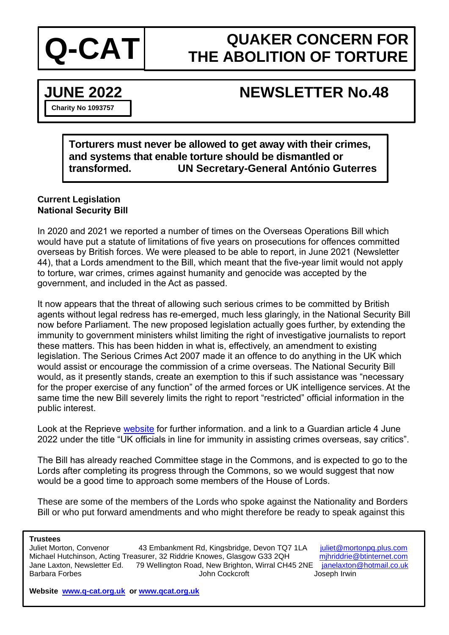# Q-CAT

# **QUAKER CONCERN FOR Q-CAT** THE ABOLITION OF TORTURE

## **JUNE 2022 NEWSLETTER No.48**

**Charity No 1093757**

**Torturers must never be allowed to get away with their crimes, and systems that enable torture should be dismantled or transformed. UN Secretary-General António Guterres**

#### **Current Legislation National Security Bill**

In 2020 and 2021 we reported a number of times on the Overseas Operations Bill which would have put a statute of limitations of five years on prosecutions for offences committed overseas by British forces. We were pleased to be able to report, in June 2021 (Newsletter 44), that a Lords amendment to the Bill, which meant that the five-year limit would not apply to torture, war crimes, crimes against humanity and genocide was accepted by the government, and included in the Act as passed.

It now appears that the threat of allowing such serious crimes to be committed by British agents without legal redress has re-emerged, much less glaringly, in the National Security Bill now before Parliament. The new proposed legislation actually goes further, by extending the immunity to government ministers whilst limiting the right of investigative journalists to report these matters. This has been hidden in what is, effectively, an amendment to existing legislation. The Serious Crimes Act 2007 made it an offence to do anything in the UK which would assist or encourage the commission of a crime overseas. The National Security Bill would, as it presently stands, create an exemption to this if such assistance was "necessary for the proper exercise of any function" of the armed forces or UK intelligence services. At the same time the new Bill severely limits the right to report "restricted" official information in the public interest.

Look at the Reprieve [website](https://reprieve.org/uk/2022/06/06/uk-officials-in-line-for-immunity-in-assisting-crimes-overseas-say-critics/) for further information, and a link to a Guardian article 4 June 2022 under the title "UK officials in line for immunity in assisting crimes overseas, say critics".

The Bill has already reached Committee stage in the Commons, and is expected to go to the Lords after completing its progress through the Commons, so we would suggest that now would be a good time to approach some members of the House of Lords.

These are some of the members of the Lords who spoke against the Nationality and Borders Bill or who put forward amendments and who might therefore be ready to speak against this

#### **Trustees**

Juliet Morton, Convenor 43 Embankment Rd, Kingsbridge, Devon TQ7 1LA [juliet@mortonpq.plus.com](mailto:juliet@mortonpq.plus.com) Michael Hutchinson, Acting Treasurer, 32 Riddrie Knowes, Glasgow G33 2QH [mjhriddrie@btinternet.com](mailto:mjhriddrie@btinternet.com) Jane Laxton, Newsletter Ed. 79 Wellington Road, New Brighton, Wirral CH45 2NE [janelaxton@hotmail.co.uk](mailto:janelaxton@hotmail.co.uk) Barbara Forbes John Cockcroft Joseph Irwin

**Website [www.q-cat.org.uk](http://www.q-cat.org.uk/) or [www.qcat.org.uk](http://www.qcat.org.uk/)**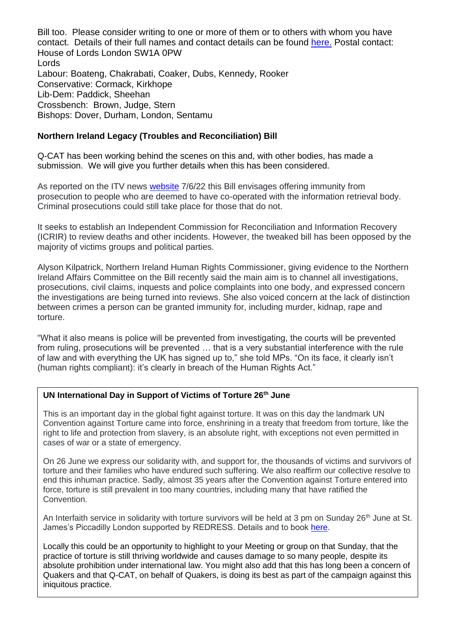Bill too. Please consider writing to one or more of them or to others with whom you have contact. Details of their full names and contact details can be found [here.](https://www.parliament.uk/business/lords/whos-in-the-house-of-lords/get-in-touch-with-members/) Postal contact: House of Lords London SW1A 0PW Lords Labour: Boateng, Chakrabati, Coaker, Dubs, Kennedy, Rooker Conservative: Cormack, Kirkhope Lib-Dem: Paddick, Sheehan Crossbench: Brown, Judge, Stern Bishops: Dover, Durham, London, Sentamu

#### **Northern Ireland Legacy (Troubles and Reconciliation) Bill**

Q-CAT has been working behind the scenes on this and, with other bodies, has made a submission. We will give you further details when this has been considered.

As reported on the ITV news [website](https://www.itv.com/news/2022-06-07/troubles-legacy-bill-cannot-be-made-compatible-with-human-rights) 7/6/22 this Bill envisages offering immunity from prosecution to people who are deemed to have co-operated with the information retrieval body. Criminal prosecutions could still take place for those that do not.

It seeks to establish an Independent Commission for Reconciliation and Information Recovery (ICRIR) to review deaths and other incidents. However, the tweaked bill has been opposed by the majority of victims groups and political parties.

Alyson Kilpatrick, Northern Ireland Human Rights Commissioner, giving evidence to the Northern Ireland Affairs Committee on the Bill recently said the main aim is to channel all investigations, prosecutions, civil claims, inquests and police complaints into one body, and expressed concern the investigations are being turned into reviews. She also voiced concern at the lack of distinction between crimes a person can be granted immunity for, including murder, kidnap, rape and torture.

"What it also means is police will be prevented from investigating, the courts will be prevented from ruling, prosecutions will be prevented … that is a very substantial interference with the rule of law and with everything the UK has signed up to," she told MPs. "On its face, it clearly isn't (human rights compliant): it's clearly in breach of the Human Rights Act."

#### **UN International Day in Support of Victims of Torture 26th June**

This is an important day in the global fight against torture. It was on this day the landmark UN Convention against Torture came into force, enshrining in a treaty that freedom from torture, like the right to life and protection from slavery, is an absolute right, with exceptions not even permitted in cases of war or a state of emergency.

On 26 June we express our solidarity with, and support for, the thousands of victims and survivors of torture and their families who have endured such suffering. We also reaffirm our collective resolve to end this inhuman practice. Sadly, almost 35 years after the Convention against Torture entered into force, torture is still prevalent in too many countries, including many that have ratified the Convention.

An Interfaith service in solidarity with torture survivors will be held at 3 pm on Sunday 26<sup>th</sup> June at St. James's Piccadilly London supported by REDRESS. Details and to book [here.](https://redress.org/news/solidarity-in-support-of-torture-survivors-on-26-june/)

Locally this could be an opportunity to highlight to your Meeting or group on that Sunday, that the practice of torture is still thriving worldwide and causes damage to so many people, despite its absolute prohibition under international law. You might also add that this has long been a concern of Quakers and that Q-CAT, on behalf of Quakers, is doing its best as part of the campaign against this iniquitous practice.